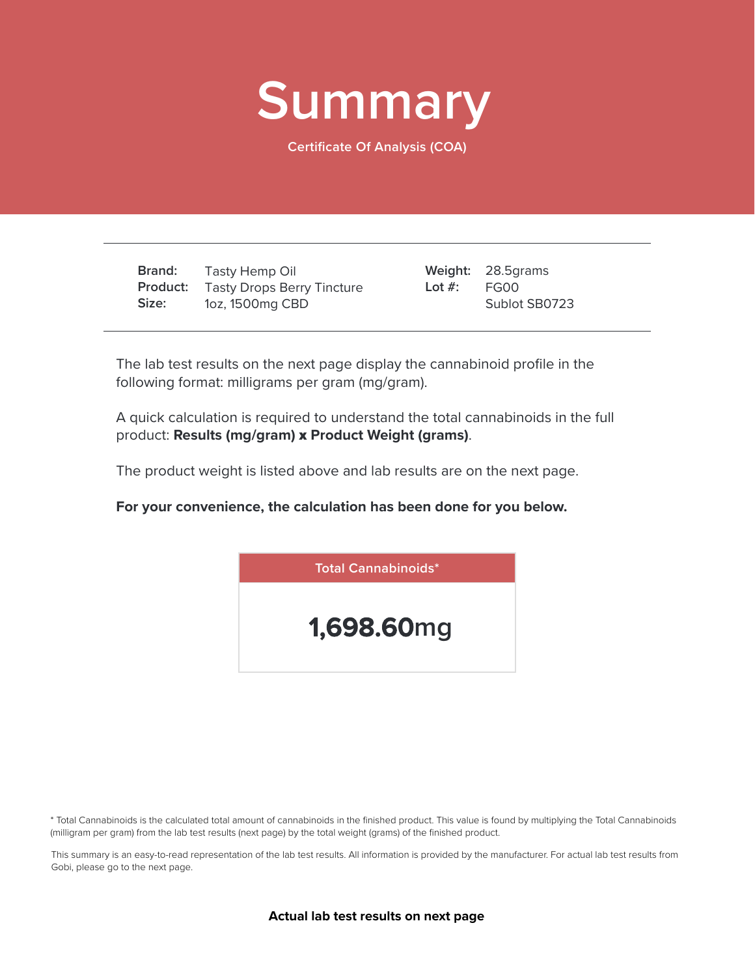

**Certificate Of Analysis (COA)**

**Brand: Product:** Tasty Drops Berry Tincture **Size:** Tasty Hemp Oil 1oz, 1500mg CBD

28.5grams **Weight:** FG00 Sublot SB0723 **Lot #:**

The lab test results on the next page display the cannabinoid profile in the following format: milligrams per gram (mg/gram).

A quick calculation is required to understand the total cannabinoids in the full product: **Results (mg/gram)** x **Product Weight (grams)**.

The product weight is listed above and lab results are on the next page.

**For your convenience, the calculation has been done for you below.**



\* Total Cannabinoids is the calculated total amount of cannabinoids in the finished product. This value is found by multiplying the Total Cannabinoids (milligram per gram) from the lab test results (next page) by the total weight (grams) of the finished product.

This summary is an easy-to-read representation of the lab test results. All information is provided by the manufacturer. For actual lab test results from Gobi, please go to the next page.